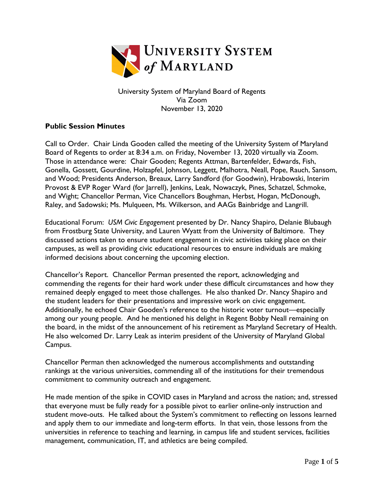

University System of Maryland Board of Regents Via Zoom November 13, 2020

## **Public Session Minutes**

Call to Order. Chair Linda Gooden called the meeting of the University System of Maryland Board of Regents to order at 8:34 a.m. on Friday, November 13, 2020 virtually via Zoom. Those in attendance were: Chair Gooden; Regents Attman, Bartenfelder, Edwards, Fish, Gonella, Gossett, Gourdine, Holzapfel, Johnson, Leggett, Malhotra, Neall, Pope, Rauch, Sansom, and Wood; Presidents Anderson, Breaux, Larry Sandford (for Goodwin), Hrabowski, Interim Provost & EVP Roger Ward (for Jarrell), Jenkins, Leak, Nowaczyk, Pines, Schatzel, Schmoke, and Wight; Chancellor Perman, Vice Chancellors Boughman, Herbst, Hogan, McDonough, Raley, and Sadowski; Ms. Mulqueen, Ms. Wilkerson, and AAGs Bainbridge and Langrill.

Educational Forum: *USM Civic Engagement* presented by Dr. Nancy Shapiro, Delanie Blubaugh from Frostburg State University, and Lauren Wyatt from the University of Baltimore. They discussed actions taken to ensure student engagement in civic activities taking place on their campuses, as well as providing civic educational resources to ensure individuals are making informed decisions about concerning the upcoming election.

Chancellor's Report. Chancellor Perman presented the report, acknowledging and commending the regents for their hard work under these difficult circumstances and how they remained deeply engaged to meet those challenges. He also thanked Dr. Nancy Shapiro and the student leaders for their presentations and impressive work on civic engagement. Additionally, he echoed Chair Gooden's reference to the historic voter turnout—especially among our young people. And he mentioned his delight in Regent Bobby Neall remaining on the board, in the midst of the announcement of his retirement as Maryland Secretary of Health. He also welcomed Dr. Larry Leak as interim president of the University of Maryland Global Campus.

Chancellor Perman then acknowledged the numerous accomplishments and outstanding rankings at the various universities, commending all of the institutions for their tremendous commitment to community outreach and engagement.

He made mention of the spike in COVID cases in Maryland and across the nation; and, stressed that everyone must be fully ready for a possible pivot to earlier online-only instruction and student move-outs. He talked about the System's commitment to reflecting on lessons learned and apply them to our immediate and long-term efforts. In that vein, those lessons from the universities in reference to teaching and learning, in campus life and student services, facilities management, communication, IT, and athletics are being compiled.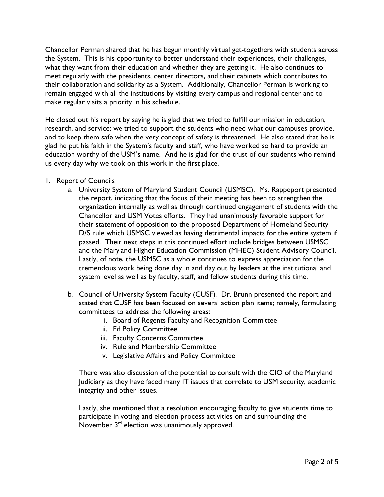Chancellor Perman shared that he has begun monthly virtual get-togethers with students across the System. This is his opportunity to better understand their experiences, their challenges, what they want from their education and whether they are getting it. He also continues to meet regularly with the presidents, center directors, and their cabinets which contributes to their collaboration and solidarity as a System. Additionally, Chancellor Perman is working to remain engaged with all the institutions by visiting every campus and regional center and to make regular visits a priority in his schedule.

He closed out his report by saying he is glad that we tried to fulfill our mission in education, research, and service; we tried to support the students who need what our campuses provide, and to keep them safe when the very concept of safety is threatened. He also stated that he is glad he put his faith in the System's faculty and staff, who have worked so hard to provide an education worthy of the USM's name. And he is glad for the trust of our students who remind us every day why we took on this work in the first place.

- 1. Report of Councils
	- a. University System of Maryland Student Council (USMSC). Ms. Rappeport presented the report, indicating that the focus of their meeting has been to strengthen the organization internally as well as through continued engagement of students with the Chancellor and USM Votes efforts. They had unanimously favorable support for their statement of opposition to the proposed Department of Homeland Security D/S rule which USMSC viewed as having detrimental impacts for the entire system if passed. Their next steps in this continued effort include bridges between USMSC and the Maryland Higher Education Commission (MHEC) Student Advisory Council. Lastly, of note, the USMSC as a whole continues to express appreciation for the tremendous work being done day in and day out by leaders at the institutional and system level as well as by faculty, staff, and fellow students during this time.
	- b. Council of University System Faculty (CUSF). Dr. Brunn presented the report and stated that CUSF has been focused on several action plan items; namely, formulating committees to address the following areas:
		- i. Board of Regents Faculty and Recognition Committee
		- ii. Ed Policy Committee
		- iii. Faculty Concerns Committee
		- iv. Rule and Membership Committee
		- v. Legislative Affairs and Policy Committee

There was also discussion of the potential to consult with the CIO of the Maryland Judiciary as they have faced many IT issues that correlate to USM security, academic integrity and other issues.

Lastly, she mentioned that a resolution encouraging faculty to give students time to participate in voting and election process activities on and surrounding the November  $3<sup>rd</sup>$  election was unanimously approved.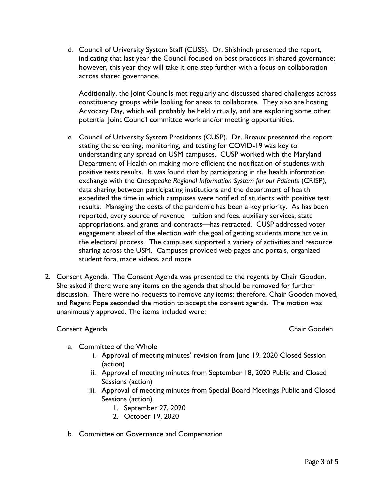d. Council of University System Staff (CUSS). Dr. Shishineh presented the report, indicating that last year the Council focused on best practices in shared governance; however, this year they will take it one step further with a focus on collaboration across shared governance.

Additionally, the Joint Councils met regularly and discussed shared challenges across constituency groups while looking for areas to collaborate. They also are hosting Advocacy Day, which will probably be held virtually, and are exploring some other potential Joint Council committee work and/or meeting opportunities.

- e. Council of University System Presidents (CUSP). Dr. Breaux presented the report stating the screening, monitoring, and testing for COVID-19 was key to understanding any spread on USM campuses. CUSP worked with the Maryland Department of Health on making more efficient the notification of students with positive tests results. It was found that by participating in the health information exchange with the *Chesapeake Regional Information System for our Patients* (CRISP), data sharing between participating institutions and the department of health expedited the time in which campuses were notified of students with positive test results. Managing the costs of the pandemic has been a key priority. As has been reported, every source of revenue—tuition and fees, auxiliary services, state appropriations, and grants and contracts—has retracted. CUSP addressed voter engagement ahead of the election with the goal of getting students more active in the electoral process. The campuses supported a variety of activities and resource sharing across the USM. Campuses provided web pages and portals, organized student fora, made videos, and more.
- 2. Consent Agenda. The Consent Agenda was presented to the regents by Chair Gooden. She asked if there were any items on the agenda that should be removed for further discussion. There were no requests to remove any items; therefore, Chair Gooden moved, and Regent Pope seconded the motion to accept the consent agenda. The motion was unanimously approved. The items included were:

## Consent Agenda Chair Gooden

- a. Committee of the Whole
	- i. Approval of meeting minutes' revision from June 19, 2020 Closed Session (action)
	- ii. Approval of meeting minutes from September 18, 2020 Public and Closed Sessions (action)
	- iii. Approval of meeting minutes from Special Board Meetings Public and Closed Sessions (action)
		- 1. September 27, 2020
		- 2. October 19, 2020
- b. Committee on Governance and Compensation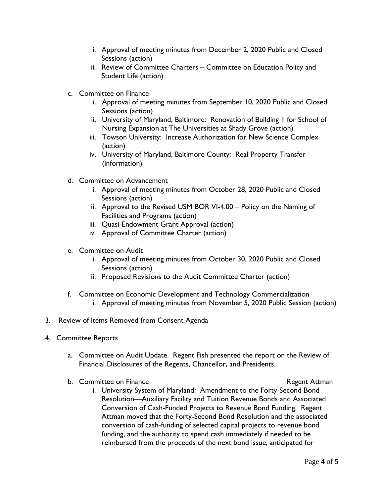- i. Approval of meeting minutes from December 2, 2020 Public and Closed Sessions (action)
- ii. Review of Committee Charters Committee on Education Policy and Student Life (action)
- c. Committee on Finance
	- i. Approval of meeting minutes from September 10, 2020 Public and Closed Sessions (action)
	- ii. University of Maryland, Baltimore: Renovation of Building 1 for School of Nursing Expansion at The Universities at Shady Grove (action)
	- iii. Towson University: Increase Authorization for New Science Complex (action)
	- iv. University of Maryland, Baltimore County: Real Property Transfer (information)
- d. Committee on Advancement
	- i. Approval of meeting minutes from October 28, 2020 Public and Closed Sessions (action)
	- ii. Approval to the Revised USM BOR VI-4.00 Policy on the Naming of Facilities and Programs (action)
	- iii. Quasi-Endowment Grant Approval (action)
	- iv. Approval of Committee Charter (action)
- e. Committee on Audit
	- i. Approval of meeting minutes from October 30, 2020 Public and Closed Sessions (action)
	- ii. Proposed Revisions to the Audit Committee Charter (action)
- f. Committee on Economic Development and Technology Commercialization i. Approval of meeting minutes from November 5, 2020 Public Session (action)
- 3. Review of Items Removed from Consent Agenda
- 4. Committee Reports
	- a. Committee on Audit Update. Regent Fish presented the report on the Review of Financial Disclosures of the Regents, Chancellor, and Presidents.
	- b. Committee on Finance **Regent Attman** 
		-
		- i. University System of Maryland: Amendment to the Forty-Second Bond Resolution—Auxiliary Facility and Tuition Revenue Bonds and Associated Conversion of Cash-Funded Projects to Revenue Bond Funding. Regent Attman moved that the Forty-Second Bond Resolution and the associated conversion of cash-funding of selected capital projects to revenue bond funding, and the authority to spend cash immediately if needed to be reimbursed from the proceeds of the next bond issue, anticipated for